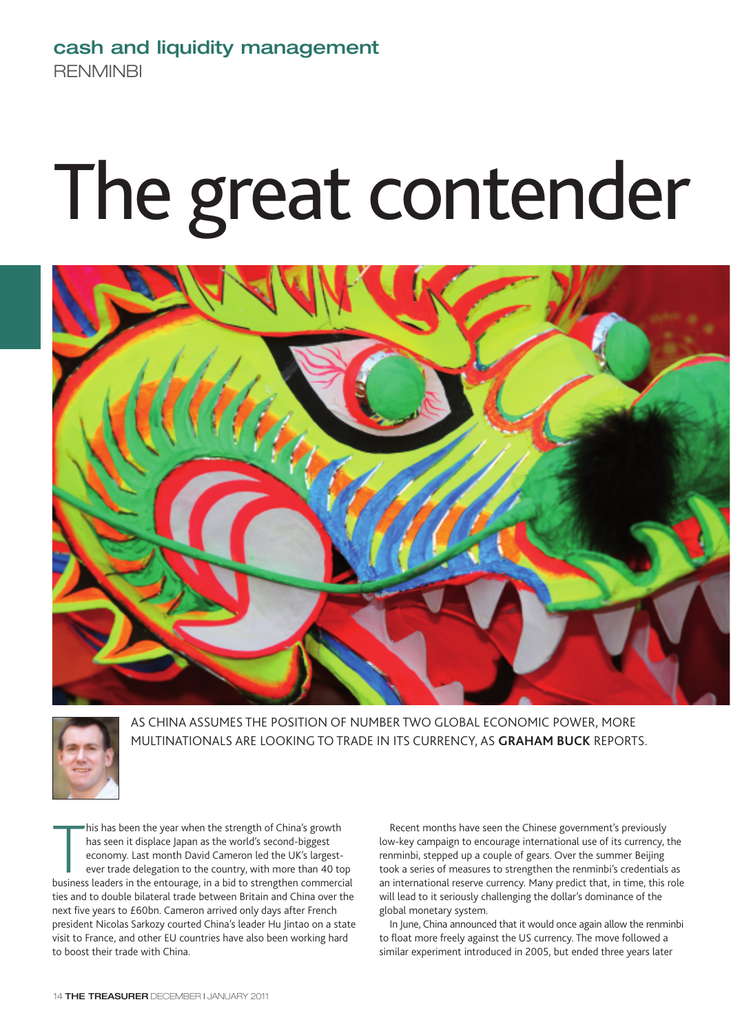# **cash and liquidity management RENMINBI**

# The great contender





AS CHINA ASSUMES THE POSITION OF NUMBER TWO GLOBAL ECONOMIC POWER, MORE MULTINATIONALS ARE LOOKING TO TRADE IN ITS CURRENCY, AS **GRAHAM BUCK** REPORTS.

his has been the year when the strength of China's growth<br>has seen it displace Japan as the world's second-biggest<br>economy. Last month David Cameron led the UK's largest-<br>ever trade delegation to the country, with more tha his has been the year when the strength of China's growth has seen it displace Japan as the world's second-biggest economy. Last month David Cameron led the UK's largestever trade delegation to the country, with more than 40 top ties and to double bilateral trade between Britain and China over the next five years to £60bn. Cameron arrived only days after French president Nicolas Sarkozy courted China's leader Hu Jintao on a state visit to France, and other EU countries have also been working hard to boost their trade with China.

Recent months have seen the Chinese government's previously low-key campaign to encourage international use of its currency, the renminbi, stepped up a couple of gears. Over the summer Beijing took a series of measures to strengthen the renminbi's credentials as an international reserve currency. Many predict that, in time, this role will lead to it seriously challenging the dollar's dominance of the global monetary system.

In June, China announced that it would once again allow the renminbi to float more freely against the US currency. The move followed a similar experiment introduced in 2005, but ended three years later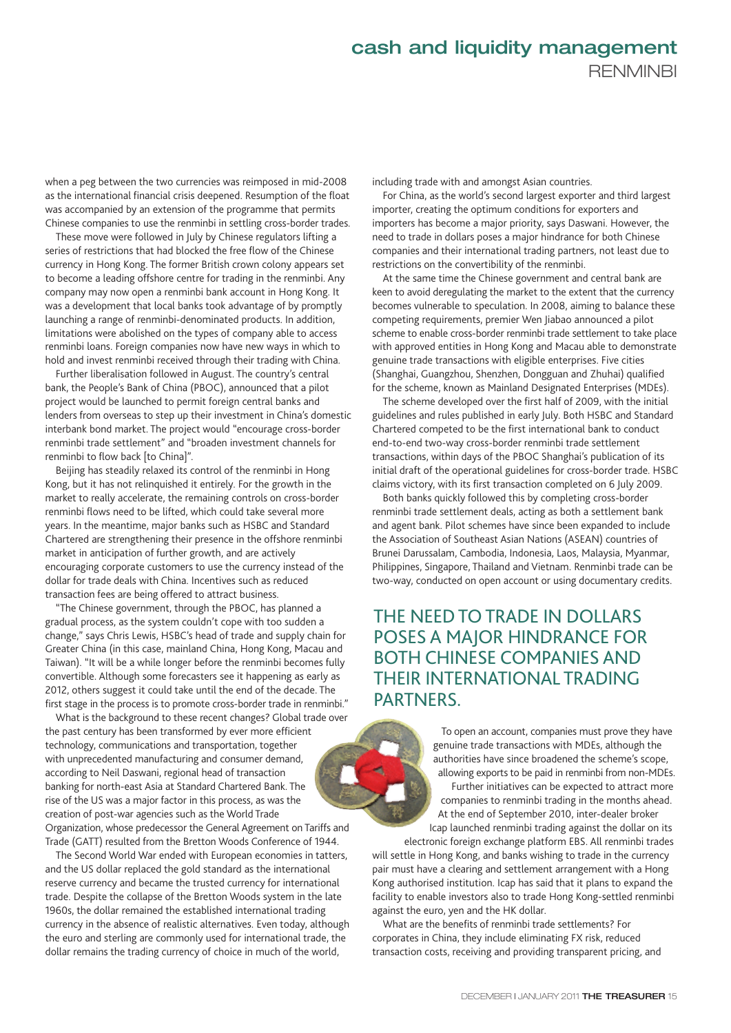when a peg between the two currencies was reimposed in mid-2008 as the international financial crisis deepened. Resumption of the float was accompanied by an extension of the programme that permits Chinese companies to use the renminbi in settling cross-border trades.

These move were followed in July by Chinese regulators lifting a series of restrictions that had blocked the free flow of the Chinese currency in Hong Kong. The former British crown colony appears set to become a leading offshore centre for trading in the renminbi. Any company may now open a renminbi bank account in Hong Kong. It was a development that local banks took advantage of by promptly launching a range of renminbi-denominated products. In addition, limitations were abolished on the types of company able to access renminbi loans. Foreign companies now have new ways in which to hold and invest renminbi received through their trading with China.

Further liberalisation followed in August. The country's central bank, the People's Bank of China (PBOC), announced that a pilot project would be launched to permit foreign central banks and lenders from overseas to step up their investment in China's domestic interbank bond market. The project would "encourage cross-border renminbi trade settlement" and "broaden investment channels for renminbi to flow back [to China]".

Beijing has steadily relaxed its control of the renminbi in Hong Kong, but it has not relinquished it entirely. For the growth in the market to really accelerate, the remaining controls on cross-border renminbi flows need to be lifted, which could take several more years. In the meantime, major banks such as HSBC and Standard Chartered are strengthening their presence in the offshore renminbi market in anticipation of further growth, and are actively encouraging corporate customers to use the currency instead of the dollar for trade deals with China. Incentives such as reduced transaction fees are being offered to attract business.

"The Chinese government, through the PBOC, has planned a gradual process, as the system couldn't cope with too sudden a change," says Chris Lewis, HSBC's head of trade and supply chain for Greater China (in this case, mainland China, Hong Kong, Macau and Taiwan). "It will be a while longer before the renminbi becomes fully convertible. Although some forecasters see it happening as early as 2012, others suggest it could take until the end of the decade. The first stage in the process is to promote cross-border trade in renminbi."

What is the background to these recent changes? Global trade over the past century has been transformed by ever more efficient technology, communications and transportation, together with unprecedented manufacturing and consumer demand, according to Neil Daswani, regional head of transaction banking for north-east Asia at Standard Chartered Bank. The rise of the US was a major factor in this process, as was the creation of post-war agencies such as the World Trade Organization, whose predecessor the General Agreement on Tariffs and Trade (GATT) resulted from the Bretton Woods Conference of 1944.

The Second World War ended with European economies in tatters, and the US dollar replaced the gold standard as the international reserve currency and became the trusted currency for international trade. Despite the collapse of the Bretton Woods system in the late 1960s, the dollar remained the established international trading currency in the absence of realistic alternatives. Even today, although the euro and sterling are commonly used for international trade, the dollar remains the trading currency of choice in much of the world,

including trade with and amongst Asian countries.

For China, as the world's second largest exporter and third largest importer, creating the optimum conditions for exporters and importers has become a major priority, says Daswani. However, the need to trade in dollars poses a major hindrance for both Chinese companies and their international trading partners, not least due to restrictions on the convertibility of the renminbi.

At the same time the Chinese government and central bank are keen to avoid deregulating the market to the extent that the currency becomes vulnerable to speculation. In 2008, aiming to balance these competing requirements, premier Wen Jiabao announced a pilot scheme to enable cross-border renminbi trade settlement to take place with approved entities in Hong Kong and Macau able to demonstrate genuine trade transactions with eligible enterprises. Five cities (Shanghai, Guangzhou, Shenzhen, Dongguan and Zhuhai) qualified for the scheme, known as Mainland Designated Enterprises (MDEs).

The scheme developed over the first half of 2009, with the initial guidelines and rules published in early July. Both HSBC and Standard Chartered competed to be the first international bank to conduct end-to-end two-way cross-border renminbi trade settlement transactions, within days of the PBOC Shanghai's publication of its initial draft of the operational guidelines for cross-border trade. HSBC claims victory, with its first transaction completed on 6 July 2009.

Both banks quickly followed this by completing cross-border renminbi trade settlement deals, acting as both a settlement bank and agent bank. Pilot schemes have since been expanded to include the Association of Southeast Asian Nations (ASEAN) countries of Brunei Darussalam, Cambodia, Indonesia, Laos, Malaysia, Myanmar, Philippines, Singapore, Thailand and Vietnam. Renminbi trade can be two-way, conducted on open account or using documentary credits.

## THE NEED TO TRADE IN DOLLARS POSES A MAJOR HINDRANCE FOR BOTH CHINESE COMPANIES AND THEIR INTERNATIONAL TRADING PARTNERS.

To open an account, companies must prove they have genuine trade transactions with MDEs, although the authorities have since broadened the scheme's scope, allowing exports to be paid in renminbi from non-MDEs.

Further initiatives can be expected to attract more companies to renminbi trading in the months ahead. At the end of September 2010, inter-dealer broker Icap launched renminbi trading against the dollar on its

electronic foreign exchange platform EBS. All renminbi trades will settle in Hong Kong, and banks wishing to trade in the currency pair must have a clearing and settlement arrangement with a Hong Kong authorised institution. Icap has said that it plans to expand the facility to enable investors also to trade Hong Kong-settled renminbi against the euro, yen and the HK dollar.

What are the benefits of renminbi trade settlements? For corporates in China, they include eliminating FX risk, reduced transaction costs, receiving and providing transparent pricing, and